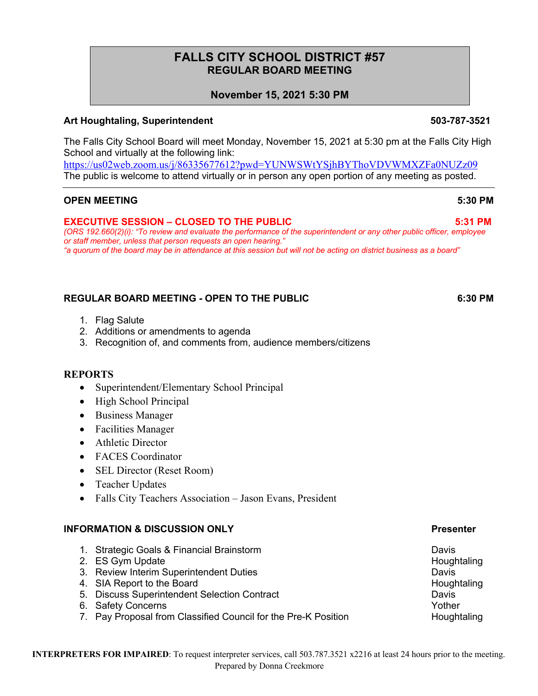# **FALLS CITY SCHOOL DISTRICT #57 REGULAR BOARD MEETING**

# **November 15, 2021 5:30 PM**

# **Art Houghtaling, Superintendent 503-787-3521**

The Falls City School Board will meet Monday, November 15, 2021 at 5:30 pm at the Falls City High School and virtually at the following link:

https://us02web.zoom.us/j/86335677612?pwd=YUNWSWtYSjhBYThoVDVWMXZFa0NUZz09 The public is welcome to attend virtually or in person any open portion of any meeting as posted.

## **OPEN MEETING 5:30 PM**

### **EXECUTIVE SESSION – CLOSED TO THE PUBLIC 5:31 PM**

*(ORS 192.660(2)(i): "To review and evaluate the performance of the superintendent or any other public officer, employee or staff member, unless that person requests an open hearing." "a quorum of the board may be in attendance at this session but will not be acting on district business as a board"*

# **REGULAR BOARD MEETING - OPEN TO THE PUBLIC 6:30 PM**

- 1. Flag Salute
- 2. Additions or amendments to agenda
- 3. Recognition of, and comments from, audience members/citizens

### **REPORTS**

- Superintendent/Elementary School Principal
- High School Principal
- Business Manager
- Facilities Manager
- Athletic Director
- FACES Coordinator
- SEL Director (Reset Room)
- Teacher Updates
- Falls City Teachers Association Jason Evans, President

### **INFORMATION & DISCUSSION ONLY Presenter**

- 1. Strategic Goals & Financial Brainstorm Davis
- 2. ES Gym Update Houghtaling
- 3. Review Interim Superintendent Duties Davis
- 4. SIA Report to the Board **Houghtaling** SIA Report to the Board Houghtaling
- 5. Discuss Superintendent Selection Contract Davis
- 6. Safety Concerns **Yother** Yother Assembly the Safety Concerns of the Safety Concerns of the Safety Concerns of the Safety Concerns of the Safety Concerns of the Safety Concerns of the Safety Concerns of the Safety Concer
- 7. Pay Proposal from Classified Council for the Pre-K Position **Houghtaling**

#### **INTERPRETERS FOR IMPAIRED**: To request interpreter services, call 503.787.3521 x2216 at least 24 hours prior to the meeting. Prepared by Donna Creekmore